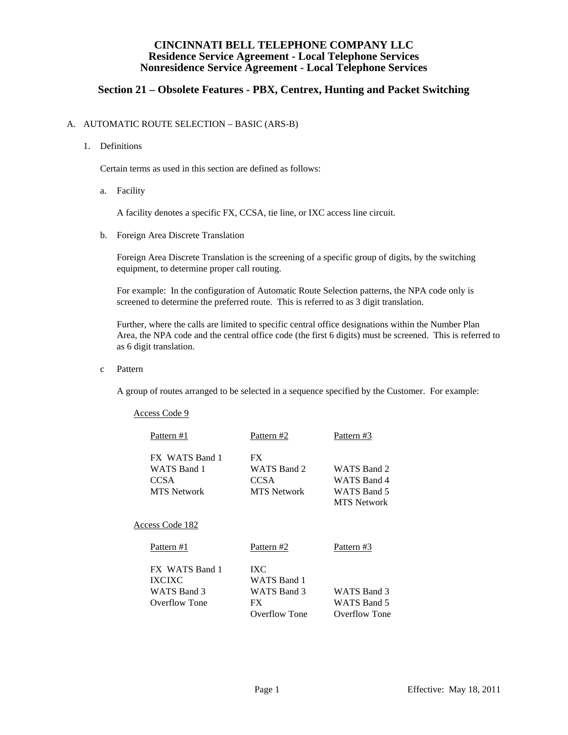## **Section 21 – Obsolete Features - PBX, Centrex, Hunting and Packet Switching**

#### A. AUTOMATIC ROUTE SELECTION – BASIC (ARS-B)

1. Definitions

Certain terms as used in this section are defined as follows:

a. Facility

A facility denotes a specific FX, CCSA, tie line, or IXC access line circuit.

b. Foreign Area Discrete Translation

 Foreign Area Discrete Translation is the screening of a specific group of digits, by the switching equipment, to determine proper call routing.

 For example: In the configuration of Automatic Route Selection patterns, the NPA code only is screened to determine the preferred route. This is referred to as 3 digit translation.

 Further, where the calls are limited to specific central office designations within the Number Plan Area, the NPA code and the central office code (the first 6 digits) must be screened. This is referred to as 6 digit translation.

c Pattern

A group of routes arranged to be selected in a sequence specified by the Customer. For example:

| Access Code 9                                                      |                                                                 |                                                                 |
|--------------------------------------------------------------------|-----------------------------------------------------------------|-----------------------------------------------------------------|
| Pattern #1                                                         | Pattern #2                                                      | Pattern #3                                                      |
| FX WATS Band 1<br>WATS Band 1<br><b>CCSA</b><br><b>MTS</b> Network | FX.<br>WATS Band 2<br><b>CCSA</b><br><b>MTS</b> Network         | WATS Band 2<br>WATS Band 4<br>WATS Band 5<br><b>MTS</b> Network |
| Access Code 182                                                    |                                                                 |                                                                 |
| Pattern #1                                                         | Pattern #2                                                      | Pattern #3                                                      |
| FX WATS Band 1<br><b>IXCIXC</b><br>WATS Band 3<br>Overflow Tone    | IXC<br><b>WATS</b> Band 1<br>WATS Band 3<br>FX<br>Overflow Tone | WATS Band 3<br>WATS Band 5<br>Overflow Tone                     |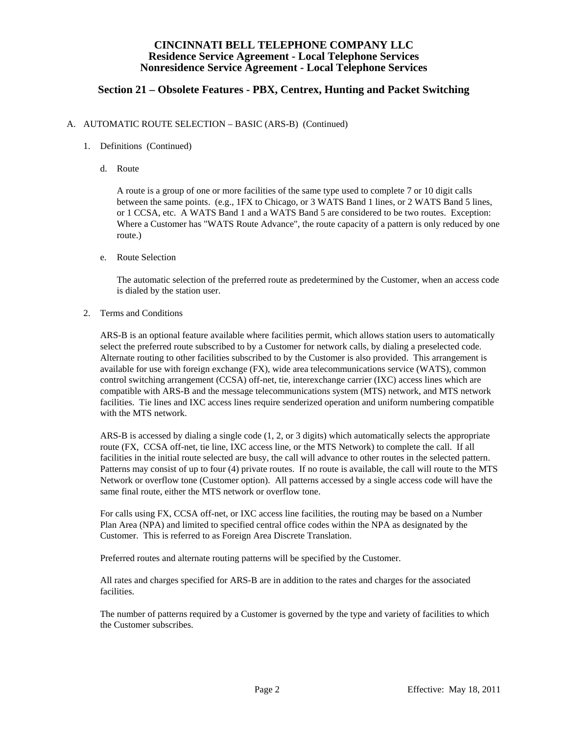## **Section 21 – Obsolete Features - PBX, Centrex, Hunting and Packet Switching**

#### A. AUTOMATIC ROUTE SELECTION – BASIC (ARS-B) (Continued)

- 1. Definitions (Continued)
	- d. Route

 A route is a group of one or more facilities of the same type used to complete 7 or 10 digit calls between the same points. (e.g., 1FX to Chicago, or 3 WATS Band 1 lines, or 2 WATS Band 5 lines, or 1 CCSA, etc. A WATS Band 1 and a WATS Band 5 are considered to be two routes. Exception: Where a Customer has "WATS Route Advance", the route capacity of a pattern is only reduced by one route.)

e. Route Selection

 The automatic selection of the preferred route as predetermined by the Customer, when an access code is dialed by the station user.

2. Terms and Conditions

 ARS-B is an optional feature available where facilities permit, which allows station users to automatically select the preferred route subscribed to by a Customer for network calls, by dialing a preselected code. Alternate routing to other facilities subscribed to by the Customer is also provided. This arrangement is available for use with foreign exchange (FX), wide area telecommunications service (WATS), common control switching arrangement (CCSA) off-net, tie, interexchange carrier (IXC) access lines which are compatible with ARS-B and the message telecommunications system (MTS) network, and MTS network facilities. Tie lines and IXC access lines require senderized operation and uniform numbering compatible with the MTS network.

 ARS-B is accessed by dialing a single code (1, 2, or 3 digits) which automatically selects the appropriate route (FX, CCSA off-net, tie line, IXC access line, or the MTS Network) to complete the call. If all facilities in the initial route selected are busy, the call will advance to other routes in the selected pattern. Patterns may consist of up to four (4) private routes. If no route is available, the call will route to the MTS Network or overflow tone (Customer option). All patterns accessed by a single access code will have the same final route, either the MTS network or overflow tone.

 For calls using FX, CCSA off-net, or IXC access line facilities, the routing may be based on a Number Plan Area (NPA) and limited to specified central office codes within the NPA as designated by the Customer. This is referred to as Foreign Area Discrete Translation.

Preferred routes and alternate routing patterns will be specified by the Customer.

 All rates and charges specified for ARS-B are in addition to the rates and charges for the associated facilities.

 The number of patterns required by a Customer is governed by the type and variety of facilities to which the Customer subscribes.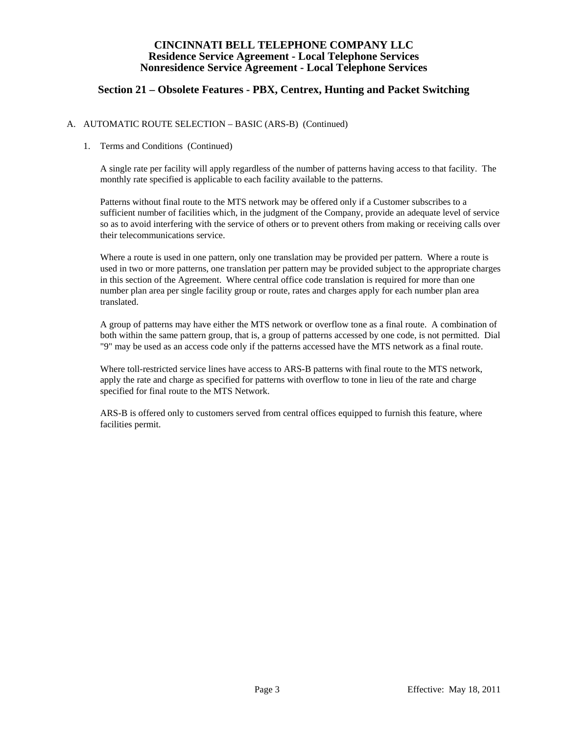## **Section 21 – Obsolete Features - PBX, Centrex, Hunting and Packet Switching**

#### A. AUTOMATIC ROUTE SELECTION – BASIC (ARS-B) (Continued)

#### 1. Terms and Conditions (Continued)

 A single rate per facility will apply regardless of the number of patterns having access to that facility. The monthly rate specified is applicable to each facility available to the patterns.

 Patterns without final route to the MTS network may be offered only if a Customer subscribes to a sufficient number of facilities which, in the judgment of the Company, provide an adequate level of service so as to avoid interfering with the service of others or to prevent others from making or receiving calls over their telecommunications service.

 Where a route is used in one pattern, only one translation may be provided per pattern. Where a route is used in two or more patterns, one translation per pattern may be provided subject to the appropriate charges in this section of the Agreement. Where central office code translation is required for more than one number plan area per single facility group or route, rates and charges apply for each number plan area translated.

 A group of patterns may have either the MTS network or overflow tone as a final route. A combination of both within the same pattern group, that is, a group of patterns accessed by one code, is not permitted. Dial "9" may be used as an access code only if the patterns accessed have the MTS network as a final route.

 Where toll-restricted service lines have access to ARS-B patterns with final route to the MTS network, apply the rate and charge as specified for patterns with overflow to tone in lieu of the rate and charge specified for final route to the MTS Network.

 ARS-B is offered only to customers served from central offices equipped to furnish this feature, where facilities permit.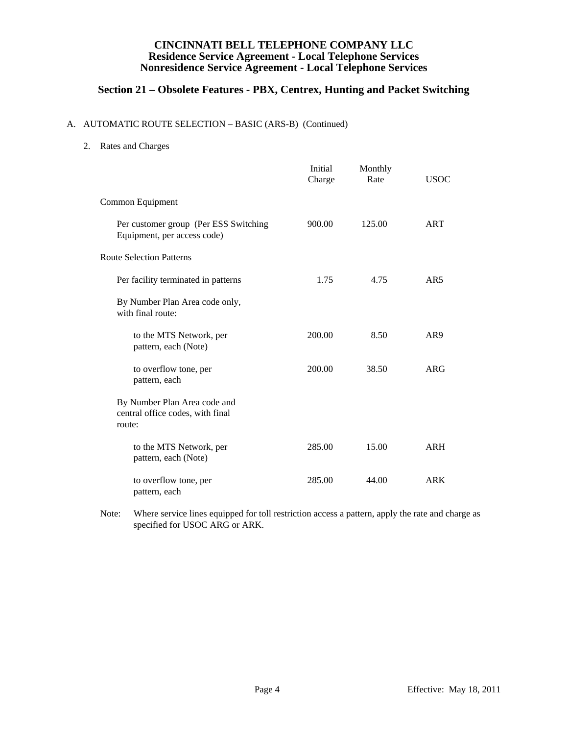# **Section 21 – Obsolete Features - PBX, Centrex, Hunting and Packet Switching**

#### A. AUTOMATIC ROUTE SELECTION – BASIC (ARS-B) (Continued)

2. Rates and Charges

|                                                                            | Initial<br>Charge | Monthly<br>Rate | <b>USOC</b>     |
|----------------------------------------------------------------------------|-------------------|-----------------|-----------------|
| Common Equipment                                                           |                   |                 |                 |
| Per customer group (Per ESS Switching<br>Equipment, per access code)       | 900.00            | 125.00          | <b>ART</b>      |
| <b>Route Selection Patterns</b>                                            |                   |                 |                 |
| Per facility terminated in patterns                                        | 1.75              | 4.75            | AR5             |
| By Number Plan Area code only,<br>with final route:                        |                   |                 |                 |
| to the MTS Network, per<br>pattern, each (Note)                            | 200.00            | 8.50            | AR <sub>9</sub> |
| to overflow tone, per<br>pattern, each                                     | 200.00            | 38.50           | ARG             |
| By Number Plan Area code and<br>central office codes, with final<br>route: |                   |                 |                 |
| to the MTS Network, per<br>pattern, each (Note)                            | 285.00            | 15.00           | <b>ARH</b>      |
| to overflow tone, per<br>pattern, each                                     | 285.00            | 44.00           | <b>ARK</b>      |

 Note: Where service lines equipped for toll restriction access a pattern, apply the rate and charge as specified for USOC ARG or ARK.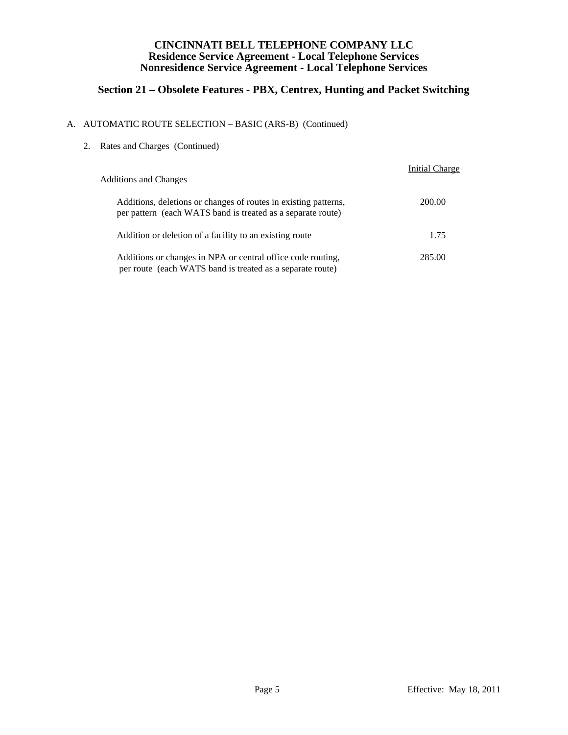# **Section 21 – Obsolete Features - PBX, Centrex, Hunting and Packet Switching**

### A. AUTOMATIC ROUTE SELECTION – BASIC (ARS-B) (Continued)

2. Rates and Charges (Continued)

| <b>Additions and Changes</b>                                                                                                   | <b>Initial Charge</b> |
|--------------------------------------------------------------------------------------------------------------------------------|-----------------------|
| Additions, deletions or changes of routes in existing patterns,<br>per pattern (each WATS band is treated as a separate route) | 200.00                |
| Addition or deletion of a facility to an existing route                                                                        | 1.75                  |
| Additions or changes in NPA or central office code routing,<br>per route (each WATS band is treated as a separate route)       | 285.00                |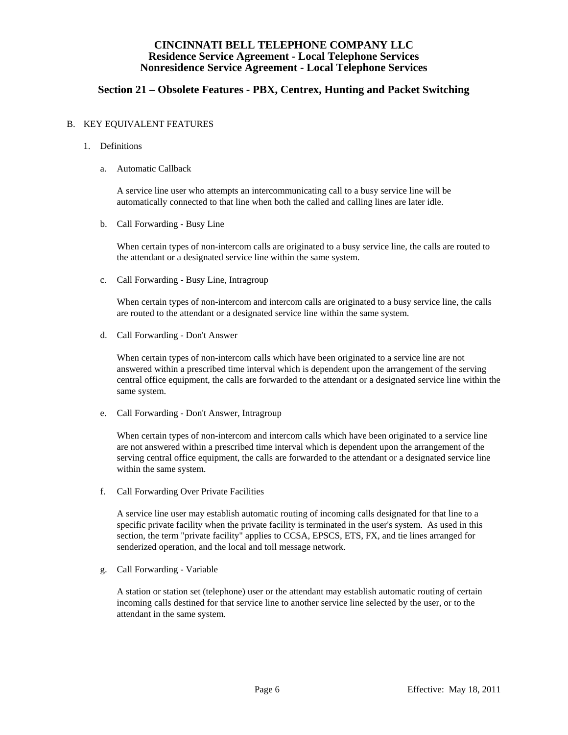## **Section 21 – Obsolete Features - PBX, Centrex, Hunting and Packet Switching**

#### B. KEY EQUIVALENT FEATURES

- 1. Definitions
	- a. Automatic Callback

 A service line user who attempts an intercommunicating call to a busy service line will be automatically connected to that line when both the called and calling lines are later idle.

b. Call Forwarding - Busy Line

 When certain types of non-intercom calls are originated to a busy service line, the calls are routed to the attendant or a designated service line within the same system.

c. Call Forwarding - Busy Line, Intragroup

 When certain types of non-intercom and intercom calls are originated to a busy service line, the calls are routed to the attendant or a designated service line within the same system.

d. Call Forwarding - Don't Answer

 When certain types of non-intercom calls which have been originated to a service line are not answered within a prescribed time interval which is dependent upon the arrangement of the serving central office equipment, the calls are forwarded to the attendant or a designated service line within the same system.

e. Call Forwarding - Don't Answer, Intragroup

 When certain types of non-intercom and intercom calls which have been originated to a service line are not answered within a prescribed time interval which is dependent upon the arrangement of the serving central office equipment, the calls are forwarded to the attendant or a designated service line within the same system.

f. Call Forwarding Over Private Facilities

 A service line user may establish automatic routing of incoming calls designated for that line to a specific private facility when the private facility is terminated in the user's system. As used in this section, the term "private facility" applies to CCSA, EPSCS, ETS, FX, and tie lines arranged for senderized operation, and the local and toll message network.

g. Call Forwarding - Variable

 A station or station set (telephone) user or the attendant may establish automatic routing of certain incoming calls destined for that service line to another service line selected by the user, or to the attendant in the same system.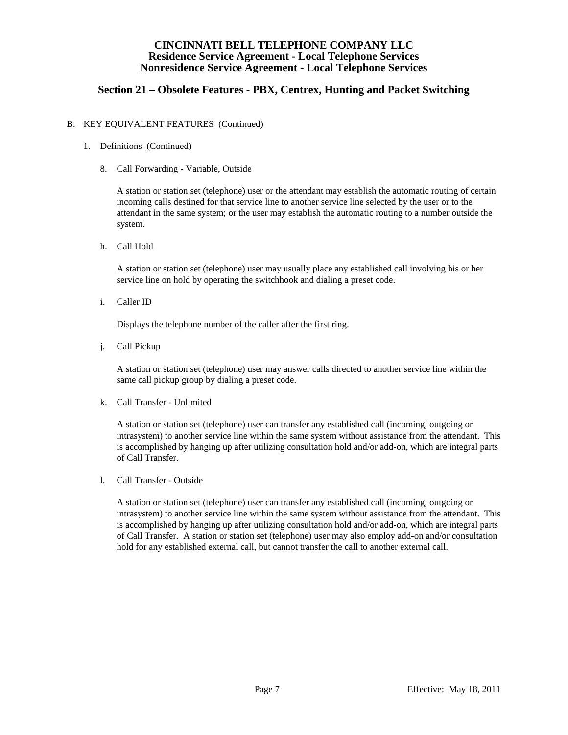## **Section 21 – Obsolete Features - PBX, Centrex, Hunting and Packet Switching**

#### B. KEY EQUIVALENT FEATURES (Continued)

- 1. Definitions (Continued)
	- 8. Call Forwarding Variable, Outside

 A station or station set (telephone) user or the attendant may establish the automatic routing of certain incoming calls destined for that service line to another service line selected by the user or to the attendant in the same system; or the user may establish the automatic routing to a number outside the system.

h. Call Hold

 A station or station set (telephone) user may usually place any established call involving his or her service line on hold by operating the switchhook and dialing a preset code.

i. Caller ID

Displays the telephone number of the caller after the first ring.

j. Call Pickup

 A station or station set (telephone) user may answer calls directed to another service line within the same call pickup group by dialing a preset code.

k. Call Transfer - Unlimited

 A station or station set (telephone) user can transfer any established call (incoming, outgoing or intrasystem) to another service line within the same system without assistance from the attendant. This is accomplished by hanging up after utilizing consultation hold and/or add-on, which are integral parts of Call Transfer.

l. Call Transfer - Outside

 A station or station set (telephone) user can transfer any established call (incoming, outgoing or intrasystem) to another service line within the same system without assistance from the attendant. This is accomplished by hanging up after utilizing consultation hold and/or add-on, which are integral parts of Call Transfer. A station or station set (telephone) user may also employ add-on and/or consultation hold for any established external call, but cannot transfer the call to another external call.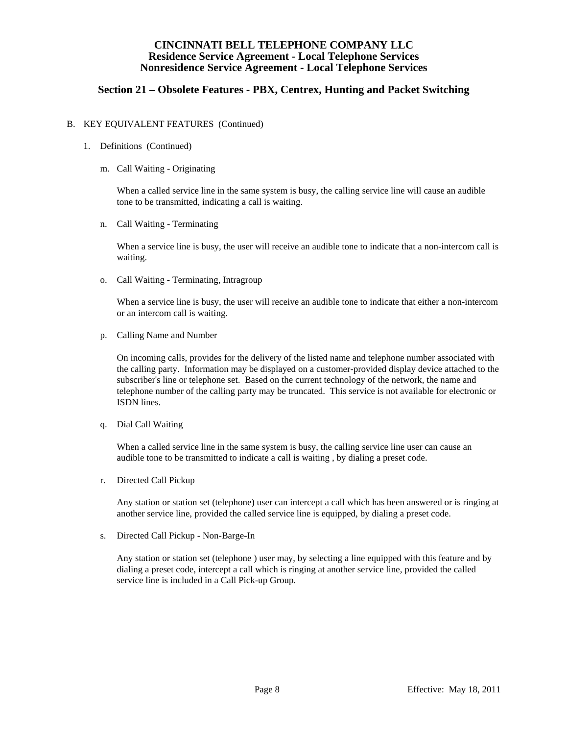## **Section 21 – Obsolete Features - PBX, Centrex, Hunting and Packet Switching**

#### B. KEY EQUIVALENT FEATURES (Continued)

- 1. Definitions (Continued)
	- m. Call Waiting Originating

When a called service line in the same system is busy, the calling service line will cause an audible tone to be transmitted, indicating a call is waiting.

n. Call Waiting - Terminating

 When a service line is busy, the user will receive an audible tone to indicate that a non-intercom call is waiting.

o. Call Waiting - Terminating, Intragroup

 When a service line is busy, the user will receive an audible tone to indicate that either a non-intercom or an intercom call is waiting.

p. Calling Name and Number

 On incoming calls, provides for the delivery of the listed name and telephone number associated with the calling party. Information may be displayed on a customer-provided display device attached to the subscriber's line or telephone set. Based on the current technology of the network, the name and telephone number of the calling party may be truncated. This service is not available for electronic or ISDN lines.

q. Dial Call Waiting

When a called service line in the same system is busy, the calling service line user can cause an audible tone to be transmitted to indicate a call is waiting , by dialing a preset code.

r. Directed Call Pickup

 Any station or station set (telephone) user can intercept a call which has been answered or is ringing at another service line, provided the called service line is equipped, by dialing a preset code.

s. Directed Call Pickup - Non-Barge-In

 Any station or station set (telephone ) user may, by selecting a line equipped with this feature and by dialing a preset code, intercept a call which is ringing at another service line, provided the called service line is included in a Call Pick-up Group.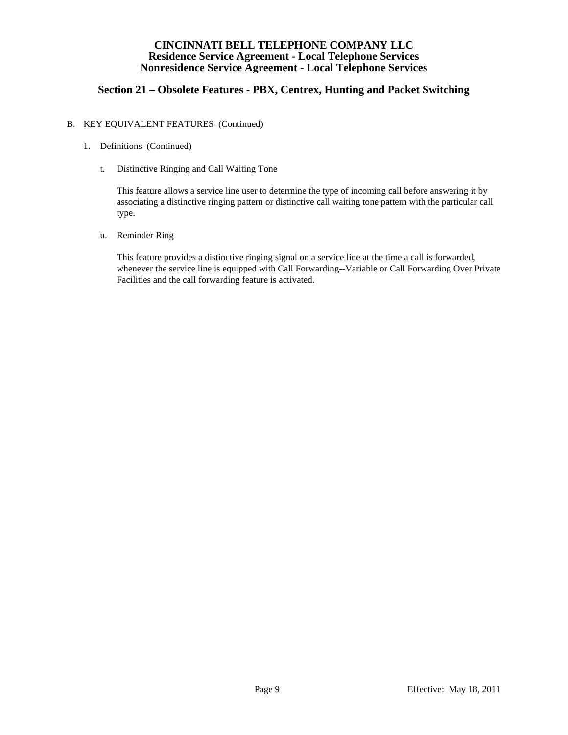## **Section 21 – Obsolete Features - PBX, Centrex, Hunting and Packet Switching**

#### B. KEY EQUIVALENT FEATURES (Continued)

- 1. Definitions (Continued)
	- t. Distinctive Ringing and Call Waiting Tone

 This feature allows a service line user to determine the type of incoming call before answering it by associating a distinctive ringing pattern or distinctive call waiting tone pattern with the particular call type.

u. Reminder Ring

 This feature provides a distinctive ringing signal on a service line at the time a call is forwarded, whenever the service line is equipped with Call Forwarding--Variable or Call Forwarding Over Private Facilities and the call forwarding feature is activated.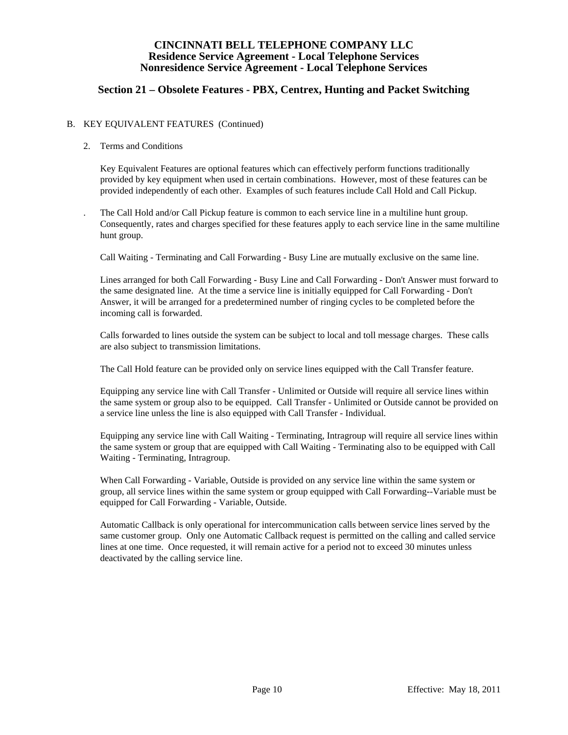## **Section 21 – Obsolete Features - PBX, Centrex, Hunting and Packet Switching**

#### B. KEY EQUIVALENT FEATURES (Continued)

#### 2. Terms and Conditions

 Key Equivalent Features are optional features which can effectively perform functions traditionally provided by key equipment when used in certain combinations. However, most of these features can be provided independently of each other. Examples of such features include Call Hold and Call Pickup.

 . The Call Hold and/or Call Pickup feature is common to each service line in a multiline hunt group. Consequently, rates and charges specified for these features apply to each service line in the same multiline hunt group.

Call Waiting - Terminating and Call Forwarding - Busy Line are mutually exclusive on the same line.

 Lines arranged for both Call Forwarding - Busy Line and Call Forwarding - Don't Answer must forward to the same designated line. At the time a service line is initially equipped for Call Forwarding - Don't Answer, it will be arranged for a predetermined number of ringing cycles to be completed before the incoming call is forwarded.

 Calls forwarded to lines outside the system can be subject to local and toll message charges. These calls are also subject to transmission limitations.

The Call Hold feature can be provided only on service lines equipped with the Call Transfer feature.

 Equipping any service line with Call Transfer - Unlimited or Outside will require all service lines within the same system or group also to be equipped. Call Transfer - Unlimited or Outside cannot be provided on a service line unless the line is also equipped with Call Transfer - Individual.

 Equipping any service line with Call Waiting - Terminating, Intragroup will require all service lines within the same system or group that are equipped with Call Waiting - Terminating also to be equipped with Call Waiting - Terminating, Intragroup.

 When Call Forwarding - Variable, Outside is provided on any service line within the same system or group, all service lines within the same system or group equipped with Call Forwarding--Variable must be equipped for Call Forwarding - Variable, Outside.

 Automatic Callback is only operational for intercommunication calls between service lines served by the same customer group. Only one Automatic Callback request is permitted on the calling and called service lines at one time. Once requested, it will remain active for a period not to exceed 30 minutes unless deactivated by the calling service line.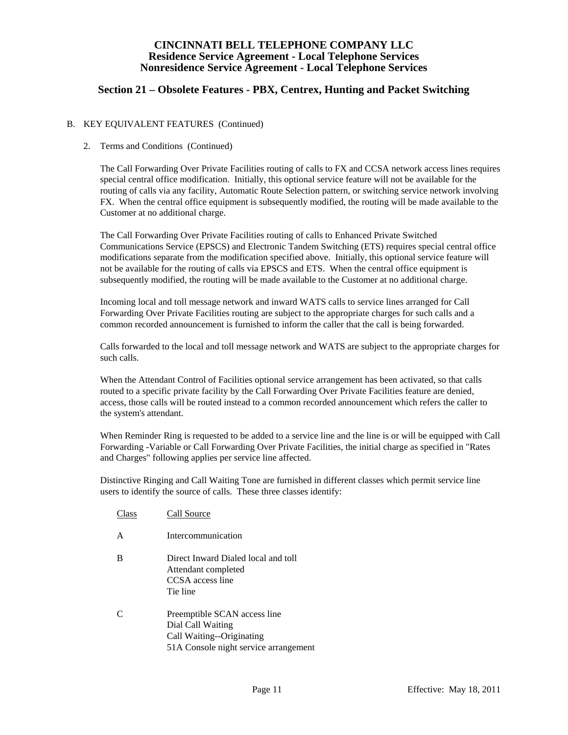## **Section 21 – Obsolete Features - PBX, Centrex, Hunting and Packet Switching**

#### B. KEY EQUIVALENT FEATURES (Continued)

#### 2. Terms and Conditions (Continued)

 The Call Forwarding Over Private Facilities routing of calls to FX and CCSA network access lines requires special central office modification. Initially, this optional service feature will not be available for the routing of calls via any facility, Automatic Route Selection pattern, or switching service network involving FX. When the central office equipment is subsequently modified, the routing will be made available to the Customer at no additional charge.

 The Call Forwarding Over Private Facilities routing of calls to Enhanced Private Switched Communications Service (EPSCS) and Electronic Tandem Switching (ETS) requires special central office modifications separate from the modification specified above. Initially, this optional service feature will not be available for the routing of calls via EPSCS and ETS. When the central office equipment is subsequently modified, the routing will be made available to the Customer at no additional charge.

 Incoming local and toll message network and inward WATS calls to service lines arranged for Call Forwarding Over Private Facilities routing are subject to the appropriate charges for such calls and a common recorded announcement is furnished to inform the caller that the call is being forwarded.

 Calls forwarded to the local and toll message network and WATS are subject to the appropriate charges for such calls.

 When the Attendant Control of Facilities optional service arrangement has been activated, so that calls routed to a specific private facility by the Call Forwarding Over Private Facilities feature are denied, access, those calls will be routed instead to a common recorded announcement which refers the caller to the system's attendant.

 When Reminder Ring is requested to be added to a service line and the line is or will be equipped with Call Forwarding -Variable or Call Forwarding Over Private Facilities, the initial charge as specified in "Rates and Charges" following applies per service line affected.

 Distinctive Ringing and Call Waiting Tone are furnished in different classes which permit service line users to identify the source of calls. These three classes identify:

 Class Call Source A Intercommunication B Direct Inward Dialed local and toll Attendant completed CCSA access line Tie line C Preemptible SCAN access line Dial Call Waiting Call Waiting--Originating 51A Console night service arrangement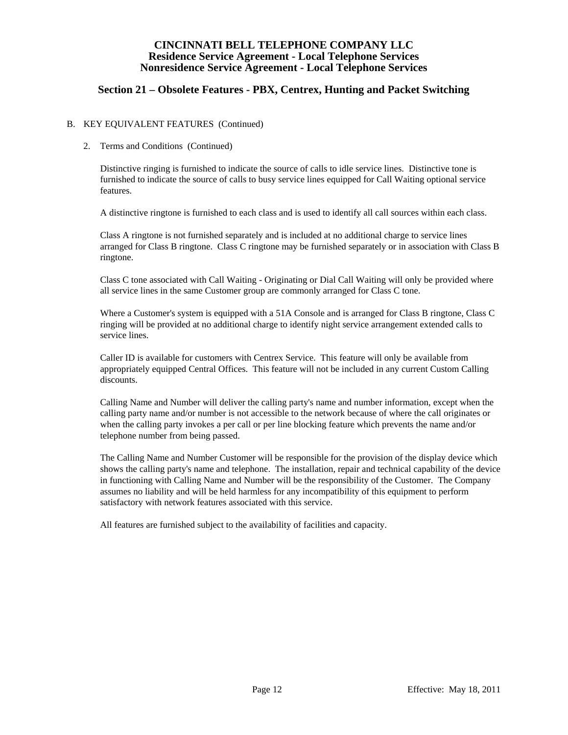## **Section 21 – Obsolete Features - PBX, Centrex, Hunting and Packet Switching**

#### B. KEY EQUIVALENT FEATURES (Continued)

#### 2. Terms and Conditions (Continued)

 Distinctive ringing is furnished to indicate the source of calls to idle service lines. Distinctive tone is furnished to indicate the source of calls to busy service lines equipped for Call Waiting optional service features.

A distinctive ringtone is furnished to each class and is used to identify all call sources within each class.

 Class A ringtone is not furnished separately and is included at no additional charge to service lines arranged for Class B ringtone. Class C ringtone may be furnished separately or in association with Class B ringtone.

 Class C tone associated with Call Waiting - Originating or Dial Call Waiting will only be provided where all service lines in the same Customer group are commonly arranged for Class C tone.

 Where a Customer's system is equipped with a 51A Console and is arranged for Class B ringtone, Class C ringing will be provided at no additional charge to identify night service arrangement extended calls to service lines.

 Caller ID is available for customers with Centrex Service. This feature will only be available from appropriately equipped Central Offices. This feature will not be included in any current Custom Calling discounts.

 Calling Name and Number will deliver the calling party's name and number information, except when the calling party name and/or number is not accessible to the network because of where the call originates or when the calling party invokes a per call or per line blocking feature which prevents the name and/or telephone number from being passed.

 The Calling Name and Number Customer will be responsible for the provision of the display device which shows the calling party's name and telephone. The installation, repair and technical capability of the device in functioning with Calling Name and Number will be the responsibility of the Customer. The Company assumes no liability and will be held harmless for any incompatibility of this equipment to perform satisfactory with network features associated with this service.

All features are furnished subject to the availability of facilities and capacity.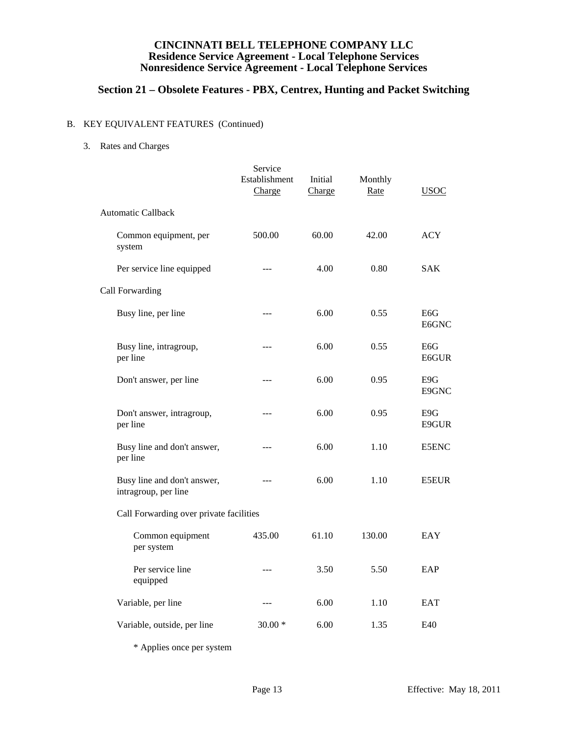# **Section 21 – Obsolete Features - PBX, Centrex, Hunting and Packet Switching**

### B. KEY EQUIVALENT FEATURES (Continued)

3. Rates and Charges

|                                                     | Service<br>Establishment<br>Charge | Initial<br>Charge | Monthly<br>Rate | <b>USOC</b>               |
|-----------------------------------------------------|------------------------------------|-------------------|-----------------|---------------------------|
| Automatic Callback                                  |                                    |                   |                 |                           |
| Common equipment, per<br>system                     | 500.00                             | 60.00             | 42.00           | <b>ACY</b>                |
| Per service line equipped                           | $---$                              | 4.00              | 0.80            | <b>SAK</b>                |
| Call Forwarding                                     |                                    |                   |                 |                           |
| Busy line, per line                                 | $---$                              | 6.00              | 0.55            | E <sub>6</sub> G<br>E6GNC |
| Busy line, intragroup,<br>per line                  | ---                                | 6.00              | 0.55            | E <sub>6</sub> G<br>E6GUR |
| Don't answer, per line                              | $---$                              | 6.00              | 0.95            | E9G<br>E9GNC              |
| Don't answer, intragroup,<br>per line               |                                    | 6.00              | 0.95            | E9G<br>E9GUR              |
| Busy line and don't answer,<br>per line             | ---                                | 6.00              | 1.10            | E5ENC                     |
| Busy line and don't answer,<br>intragroup, per line | ---                                | 6.00              | 1.10            | <b>E5EUR</b>              |
| Call Forwarding over private facilities             |                                    |                   |                 |                           |
| Common equipment<br>per system                      | 435.00                             | 61.10             | 130.00          | EAY                       |
| Per service line<br>equipped                        | $-$ - $-$                          | 3.50              | 5.50            | EAP                       |
| Variable, per line                                  | ---                                | 6.00              | 1.10            | <b>EAT</b>                |
| Variable, outside, per line                         | $30.00*$                           | 6.00              | 1.35            | E40                       |
|                                                     |                                    |                   |                 |                           |

\* Applies once per system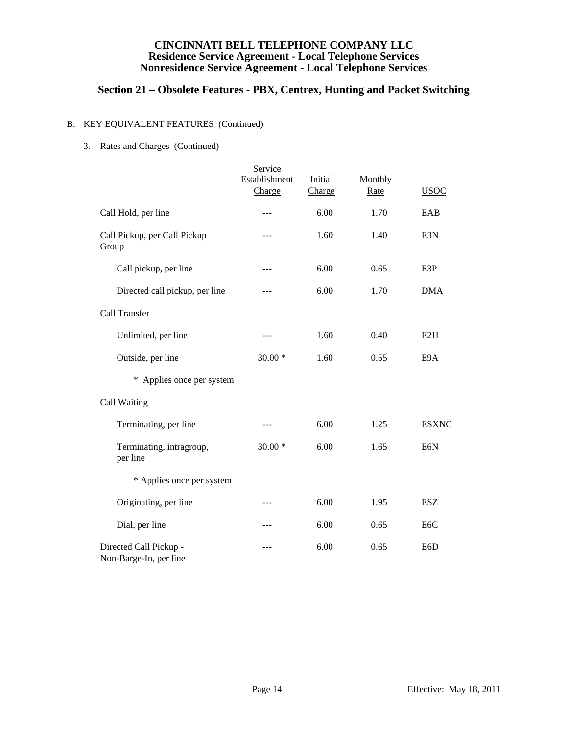# **Section 21 – Obsolete Features - PBX, Centrex, Hunting and Packet Switching**

### B. KEY EQUIVALENT FEATURES (Continued)

3. Rates and Charges (Continued)

|                                                  | Service                 |                   |                 |                  |
|--------------------------------------------------|-------------------------|-------------------|-----------------|------------------|
|                                                  | Establishment<br>Charge | Initial<br>Charge | Monthly<br>Rate | <b>USOC</b>      |
| Call Hold, per line                              | ---                     | 6.00              | 1.70            | EAB              |
| Call Pickup, per Call Pickup<br>Group            | ---                     | 1.60              | 1.40            | E3N              |
| Call pickup, per line                            | $\cdots$                | 6.00              | 0.65            | E3P              |
| Directed call pickup, per line                   | $- - -$                 | 6.00              | 1.70            | <b>DMA</b>       |
| Call Transfer                                    |                         |                   |                 |                  |
| Unlimited, per line                              | $---$                   | 1.60              | 0.40            | E2H              |
| Outside, per line                                | $30.00*$                | 1.60              | 0.55            | E9A              |
| * Applies once per system                        |                         |                   |                 |                  |
| Call Waiting                                     |                         |                   |                 |                  |
| Terminating, per line                            | $---$                   | 6.00              | 1.25            | <b>ESXNC</b>     |
| Terminating, intragroup,<br>per line             | $30.00*$                | 6.00              | 1.65            | E <sub>6</sub> N |
| * Applies once per system                        |                         |                   |                 |                  |
| Originating, per line                            | ---                     | 6.00              | 1.95            | <b>ESZ</b>       |
| Dial, per line                                   | ---                     | 6.00              | 0.65            | E <sub>6</sub> C |
| Directed Call Pickup -<br>Non-Barge-In, per line |                         | 6.00              | 0.65            | E <sub>6</sub> D |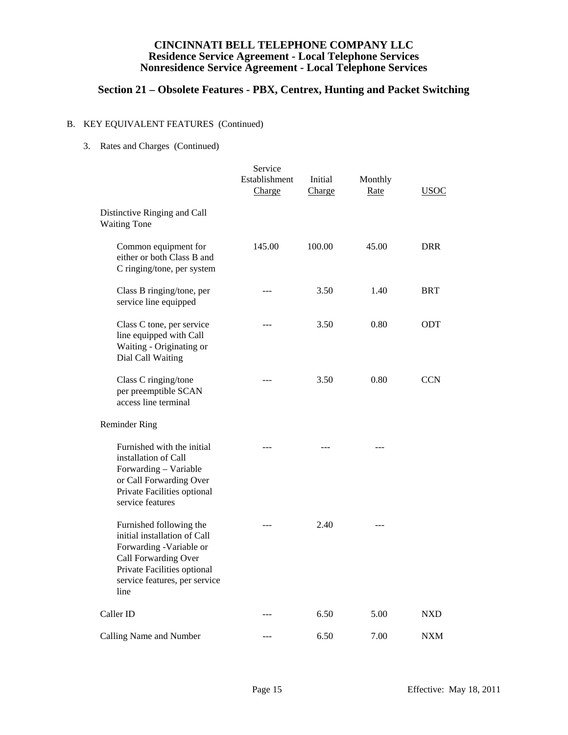# **Section 21 – Obsolete Features - PBX, Centrex, Hunting and Packet Switching**

### B. KEY EQUIVALENT FEATURES (Continued)

3. Rates and Charges (Continued)

|                                                                                                                                                                                    | Service<br>Establishment<br>Charge | Initial<br>Charge | Monthly<br>Rate | <b>USOC</b> |
|------------------------------------------------------------------------------------------------------------------------------------------------------------------------------------|------------------------------------|-------------------|-----------------|-------------|
| Distinctive Ringing and Call<br><b>Waiting Tone</b>                                                                                                                                |                                    |                   |                 |             |
| Common equipment for<br>either or both Class B and<br>C ringing/tone, per system                                                                                                   | 145.00                             | 100.00            | 45.00           | <b>DRR</b>  |
| Class B ringing/tone, per<br>service line equipped                                                                                                                                 | $ -$                               | 3.50              | 1.40            | <b>BRT</b>  |
| Class C tone, per service<br>line equipped with Call<br>Waiting - Originating or<br>Dial Call Waiting                                                                              | ---                                | 3.50              | 0.80            | ODT         |
| Class C ringing/tone<br>per preemptible SCAN<br>access line terminal                                                                                                               | ---                                | 3.50              | 0.80            | <b>CCN</b>  |
| <b>Reminder Ring</b>                                                                                                                                                               |                                    |                   |                 |             |
| Furnished with the initial<br>installation of Call<br>Forwarding - Variable<br>or Call Forwarding Over<br>Private Facilities optional<br>service features                          |                                    |                   |                 |             |
| Furnished following the<br>initial installation of Call<br>Forwarding -Variable or<br>Call Forwarding Over<br>Private Facilities optional<br>service features, per service<br>line |                                    | 2.40              |                 |             |
| Caller ID                                                                                                                                                                          |                                    | 6.50              | 5.00            | <b>NXD</b>  |
| Calling Name and Number                                                                                                                                                            | $ -$                               | 6.50              | 7.00            | <b>NXM</b>  |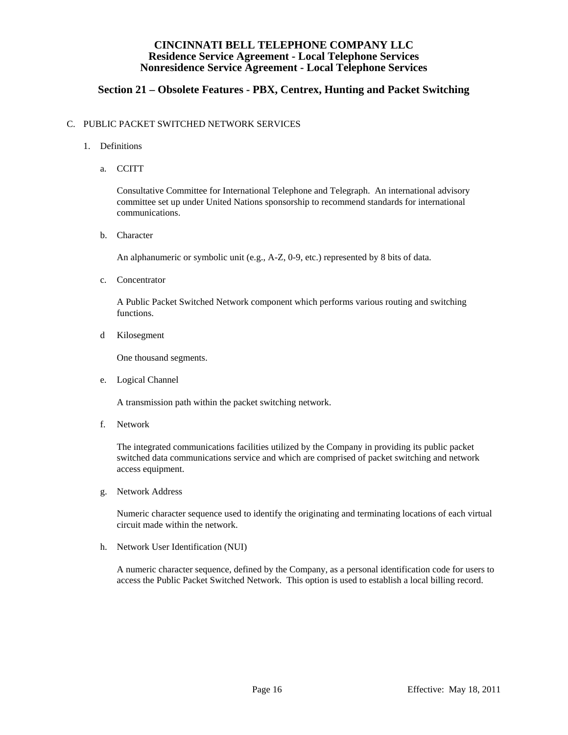## **Section 21 – Obsolete Features - PBX, Centrex, Hunting and Packet Switching**

#### C. PUBLIC PACKET SWITCHED NETWORK SERVICES

- 1. Definitions
	- a. CCITT

 Consultative Committee for International Telephone and Telegraph. An international advisory committee set up under United Nations sponsorship to recommend standards for international communications.

b. Character

An alphanumeric or symbolic unit (e.g., A-Z, 0-9, etc.) represented by 8 bits of data.

c. Concentrator

 A Public Packet Switched Network component which performs various routing and switching functions.

d Kilosegment

One thousand segments.

e. Logical Channel

A transmission path within the packet switching network.

f. Network

 The integrated communications facilities utilized by the Company in providing its public packet switched data communications service and which are comprised of packet switching and network access equipment.

g. Network Address

 Numeric character sequence used to identify the originating and terminating locations of each virtual circuit made within the network.

h. Network User Identification (NUI)

 A numeric character sequence, defined by the Company, as a personal identification code for users to access the Public Packet Switched Network. This option is used to establish a local billing record.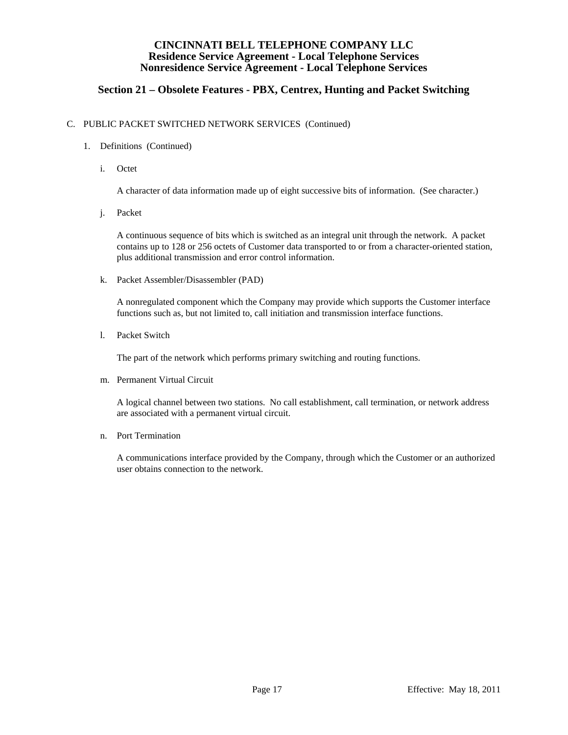## **Section 21 – Obsolete Features - PBX, Centrex, Hunting and Packet Switching**

#### C. PUBLIC PACKET SWITCHED NETWORK SERVICES (Continued)

- 1. Definitions (Continued)
	- i. Octet

A character of data information made up of eight successive bits of information. (See character.)

j. Packet

 A continuous sequence of bits which is switched as an integral unit through the network. A packet contains up to 128 or 256 octets of Customer data transported to or from a character-oriented station, plus additional transmission and error control information.

k. Packet Assembler/Disassembler (PAD)

 A nonregulated component which the Company may provide which supports the Customer interface functions such as, but not limited to, call initiation and transmission interface functions.

l. Packet Switch

The part of the network which performs primary switching and routing functions.

m. Permanent Virtual Circuit

 A logical channel between two stations. No call establishment, call termination, or network address are associated with a permanent virtual circuit.

n. Port Termination

 A communications interface provided by the Company, through which the Customer or an authorized user obtains connection to the network.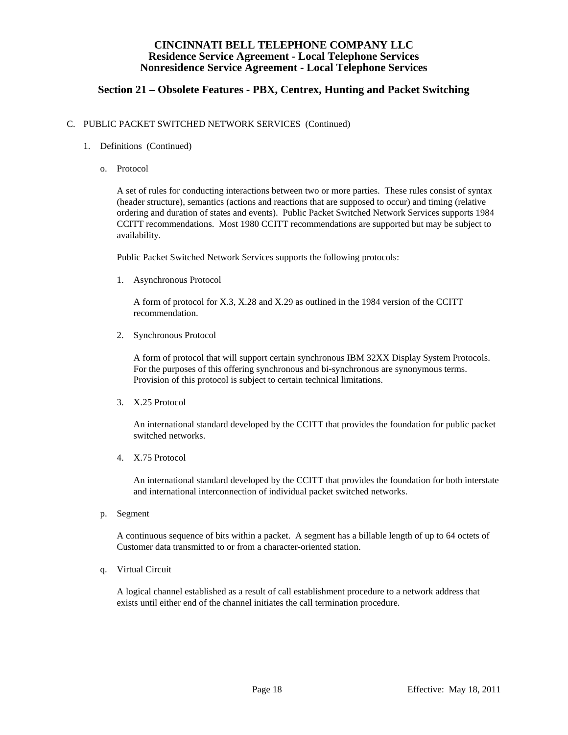## **Section 21 – Obsolete Features - PBX, Centrex, Hunting and Packet Switching**

#### C. PUBLIC PACKET SWITCHED NETWORK SERVICES (Continued)

- 1. Definitions (Continued)
	- o. Protocol

 A set of rules for conducting interactions between two or more parties. These rules consist of syntax (header structure), semantics (actions and reactions that are supposed to occur) and timing (relative ordering and duration of states and events). Public Packet Switched Network Services supports 1984 CCITT recommendations. Most 1980 CCITT recommendations are supported but may be subject to availability.

Public Packet Switched Network Services supports the following protocols:

1. Asynchronous Protocol

 A form of protocol for X.3, X.28 and X.29 as outlined in the 1984 version of the CCITT recommendation.

2. Synchronous Protocol

 A form of protocol that will support certain synchronous IBM 32XX Display System Protocols. For the purposes of this offering synchronous and bi-synchronous are synonymous terms. Provision of this protocol is subject to certain technical limitations.

3. X.25 Protocol

 An international standard developed by the CCITT that provides the foundation for public packet switched networks.

4. X.75 Protocol

 An international standard developed by the CCITT that provides the foundation for both interstate and international interconnection of individual packet switched networks.

p. Segment

 A continuous sequence of bits within a packet. A segment has a billable length of up to 64 octets of Customer data transmitted to or from a character-oriented station.

q. Virtual Circuit

 A logical channel established as a result of call establishment procedure to a network address that exists until either end of the channel initiates the call termination procedure.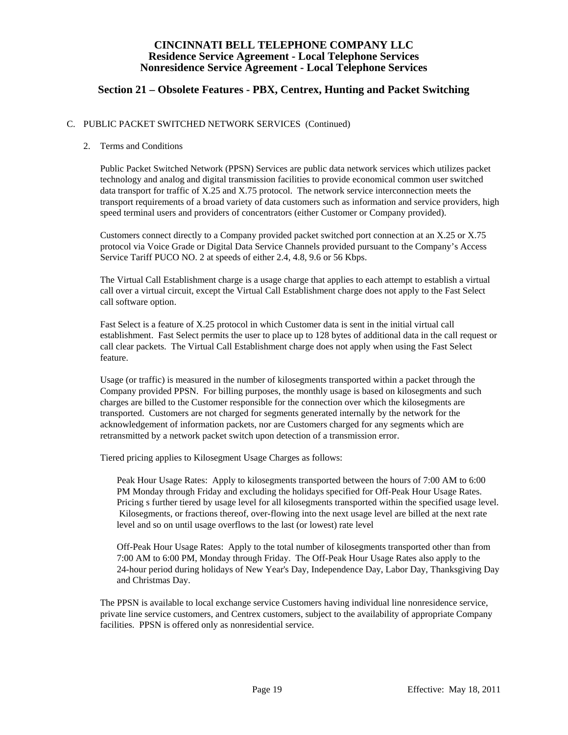## **Section 21 – Obsolete Features - PBX, Centrex, Hunting and Packet Switching**

#### C. PUBLIC PACKET SWITCHED NETWORK SERVICES (Continued)

#### 2. Terms and Conditions

 Public Packet Switched Network (PPSN) Services are public data network services which utilizes packet technology and analog and digital transmission facilities to provide economical common user switched data transport for traffic of X.25 and X.75 protocol. The network service interconnection meets the transport requirements of a broad variety of data customers such as information and service providers, high speed terminal users and providers of concentrators (either Customer or Company provided).

 Customers connect directly to a Company provided packet switched port connection at an X.25 or X.75 protocol via Voice Grade or Digital Data Service Channels provided pursuant to the Company's Access Service Tariff PUCO NO. 2 at speeds of either 2.4, 4.8, 9.6 or 56 Kbps.

 The Virtual Call Establishment charge is a usage charge that applies to each attempt to establish a virtual call over a virtual circuit, except the Virtual Call Establishment charge does not apply to the Fast Select call software option.

 Fast Select is a feature of X.25 protocol in which Customer data is sent in the initial virtual call establishment. Fast Select permits the user to place up to 128 bytes of additional data in the call request or call clear packets. The Virtual Call Establishment charge does not apply when using the Fast Select feature.

 Usage (or traffic) is measured in the number of kilosegments transported within a packet through the Company provided PPSN. For billing purposes, the monthly usage is based on kilosegments and such charges are billed to the Customer responsible for the connection over which the kilosegments are transported. Customers are not charged for segments generated internally by the network for the acknowledgement of information packets, nor are Customers charged for any segments which are retransmitted by a network packet switch upon detection of a transmission error.

Tiered pricing applies to Kilosegment Usage Charges as follows:

 Peak Hour Usage Rates: Apply to kilosegments transported between the hours of 7:00 AM to 6:00 PM Monday through Friday and excluding the holidays specified for Off-Peak Hour Usage Rates. Pricing s further tiered by usage level for all kilosegments transported within the specified usage level. Kilosegments, or fractions thereof, over-flowing into the next usage level are billed at the next rate level and so on until usage overflows to the last (or lowest) rate level

 Off-Peak Hour Usage Rates: Apply to the total number of kilosegments transported other than from 7:00 AM to 6:00 PM, Monday through Friday. The Off-Peak Hour Usage Rates also apply to the 24-hour period during holidays of New Year's Day, Independence Day, Labor Day, Thanksgiving Day and Christmas Day.

 The PPSN is available to local exchange service Customers having individual line nonresidence service, private line service customers, and Centrex customers, subject to the availability of appropriate Company facilities. PPSN is offered only as nonresidential service.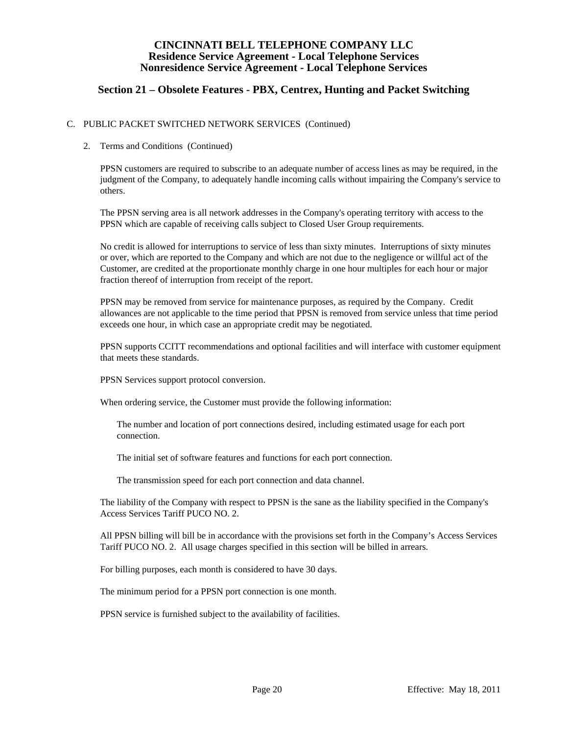## **Section 21 – Obsolete Features - PBX, Centrex, Hunting and Packet Switching**

#### C. PUBLIC PACKET SWITCHED NETWORK SERVICES (Continued)

#### 2. Terms and Conditions (Continued)

 PPSN customers are required to subscribe to an adequate number of access lines as may be required, in the judgment of the Company, to adequately handle incoming calls without impairing the Company's service to others.

 The PPSN serving area is all network addresses in the Company's operating territory with access to the PPSN which are capable of receiving calls subject to Closed User Group requirements.

 No credit is allowed for interruptions to service of less than sixty minutes. Interruptions of sixty minutes or over, which are reported to the Company and which are not due to the negligence or willful act of the Customer, are credited at the proportionate monthly charge in one hour multiples for each hour or major fraction thereof of interruption from receipt of the report.

 PPSN may be removed from service for maintenance purposes, as required by the Company. Credit allowances are not applicable to the time period that PPSN is removed from service unless that time period exceeds one hour, in which case an appropriate credit may be negotiated.

 PPSN supports CCITT recommendations and optional facilities and will interface with customer equipment that meets these standards.

PPSN Services support protocol conversion.

When ordering service, the Customer must provide the following information:

 The number and location of port connections desired, including estimated usage for each port connection.

The initial set of software features and functions for each port connection.

The transmission speed for each port connection and data channel.

 The liability of the Company with respect to PPSN is the sane as the liability specified in the Company's Access Services Tariff PUCO NO. 2.

 All PPSN billing will bill be in accordance with the provisions set forth in the Company's Access Services Tariff PUCO NO. 2. All usage charges specified in this section will be billed in arrears.

For billing purposes, each month is considered to have 30 days.

The minimum period for a PPSN port connection is one month.

PPSN service is furnished subject to the availability of facilities.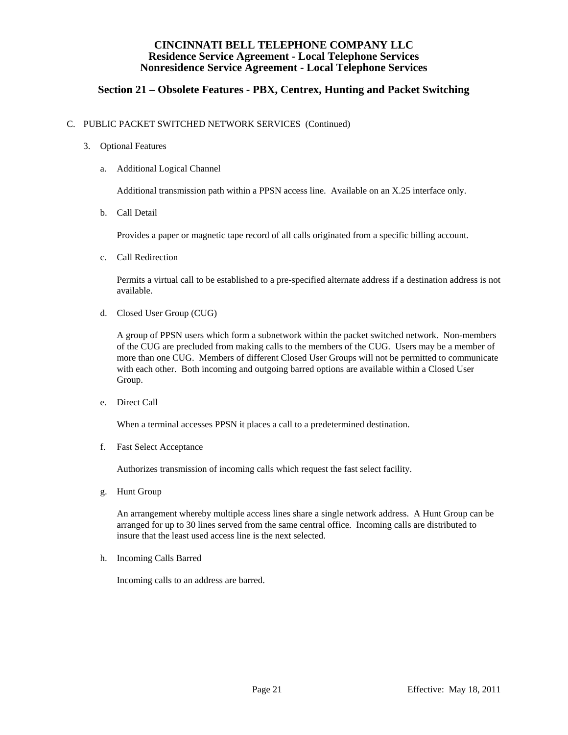## **Section 21 – Obsolete Features - PBX, Centrex, Hunting and Packet Switching**

#### C. PUBLIC PACKET SWITCHED NETWORK SERVICES (Continued)

- 3. Optional Features
	- a. Additional Logical Channel

Additional transmission path within a PPSN access line. Available on an X.25 interface only.

b. Call Detail

Provides a paper or magnetic tape record of all calls originated from a specific billing account.

c. Call Redirection

 Permits a virtual call to be established to a pre-specified alternate address if a destination address is not available.

d. Closed User Group (CUG)

 A group of PPSN users which form a subnetwork within the packet switched network. Non-members of the CUG are precluded from making calls to the members of the CUG. Users may be a member of more than one CUG. Members of different Closed User Groups will not be permitted to communicate with each other. Both incoming and outgoing barred options are available within a Closed User Group.

e. Direct Call

When a terminal accesses PPSN it places a call to a predetermined destination.

f. Fast Select Acceptance

Authorizes transmission of incoming calls which request the fast select facility.

g. Hunt Group

 An arrangement whereby multiple access lines share a single network address. A Hunt Group can be arranged for up to 30 lines served from the same central office. Incoming calls are distributed to insure that the least used access line is the next selected.

h. Incoming Calls Barred

Incoming calls to an address are barred.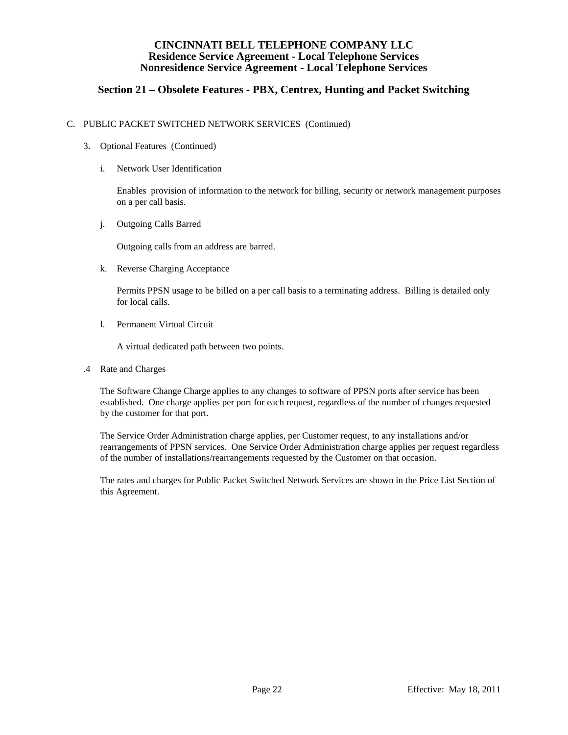## **Section 21 – Obsolete Features - PBX, Centrex, Hunting and Packet Switching**

#### C. PUBLIC PACKET SWITCHED NETWORK SERVICES (Continued)

- 3. Optional Features (Continued)
	- i. Network User Identification

 Enables provision of information to the network for billing, security or network management purposes on a per call basis.

j. Outgoing Calls Barred

Outgoing calls from an address are barred.

k. Reverse Charging Acceptance

 Permits PPSN usage to be billed on a per call basis to a terminating address. Billing is detailed only for local calls.

l. Permanent Virtual Circuit

A virtual dedicated path between two points.

.4 Rate and Charges

 The Software Change Charge applies to any changes to software of PPSN ports after service has been established. One charge applies per port for each request, regardless of the number of changes requested by the customer for that port.

 The Service Order Administration charge applies, per Customer request, to any installations and/or rearrangements of PPSN services. One Service Order Administration charge applies per request regardless of the number of installations/rearrangements requested by the Customer on that occasion.

 The rates and charges for Public Packet Switched Network Services are shown in the Price List Section of this Agreement.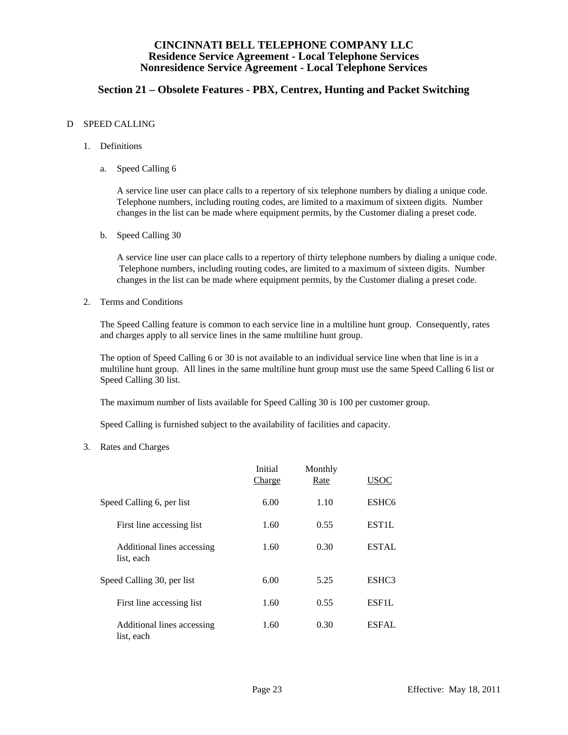## **Section 21 – Obsolete Features - PBX, Centrex, Hunting and Packet Switching**

#### D SPEED CALLING

- 1. Definitions
	- a. Speed Calling 6

 A service line user can place calls to a repertory of six telephone numbers by dialing a unique code. Telephone numbers, including routing codes, are limited to a maximum of sixteen digits. Number changes in the list can be made where equipment permits, by the Customer dialing a preset code.

b. Speed Calling 30

 A service line user can place calls to a repertory of thirty telephone numbers by dialing a unique code. Telephone numbers, including routing codes, are limited to a maximum of sixteen digits. Number changes in the list can be made where equipment permits, by the Customer dialing a preset code.

2. Terms and Conditions

 The Speed Calling feature is common to each service line in a multiline hunt group. Consequently, rates and charges apply to all service lines in the same multiline hunt group.

 The option of Speed Calling 6 or 30 is not available to an individual service line when that line is in a multiline hunt group. All lines in the same multiline hunt group must use the same Speed Calling 6 list or Speed Calling 30 list.

The maximum number of lists available for Speed Calling 30 is 100 per customer group.

Speed Calling is furnished subject to the availability of facilities and capacity.

3. Rates and Charges

|                                          | Initial<br>Charge | Monthly<br>Rate | <u>USOC</u>       |
|------------------------------------------|-------------------|-----------------|-------------------|
| Speed Calling 6, per list                | 6.00              | 1.10            | ESHC <sub>6</sub> |
| First line accessing list                | 1.60              | 0.55            | EST1L             |
| Additional lines accessing<br>list, each | 1.60              | 0.30            | <b>ESTAL</b>      |
| Speed Calling 30, per list               | 6.00              | 5.25            | ESHC3             |
| First line accessing list                | 1.60              | 0.55            | <b>ESF1L</b>      |
| Additional lines accessing<br>list, each | 1.60              | 0.30            | <b>ESFAL</b>      |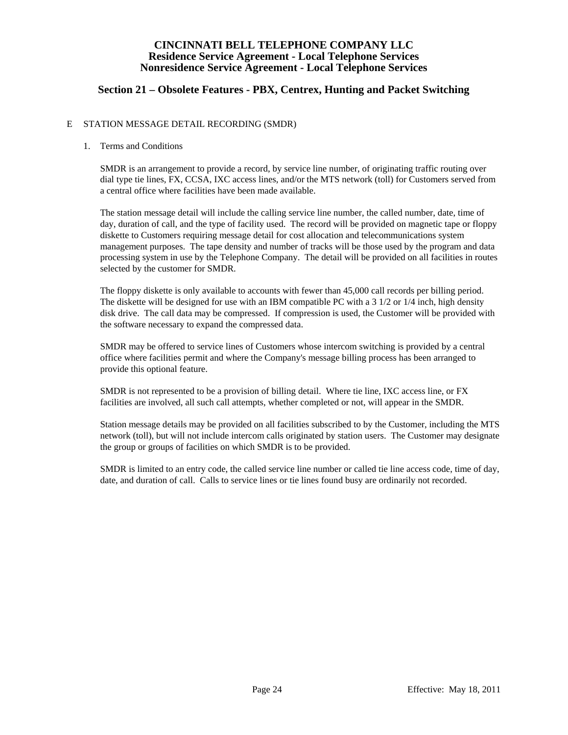## **Section 21 – Obsolete Features - PBX, Centrex, Hunting and Packet Switching**

#### E STATION MESSAGE DETAIL RECORDING (SMDR)

#### 1. Terms and Conditions

 SMDR is an arrangement to provide a record, by service line number, of originating traffic routing over dial type tie lines, FX, CCSA, IXC access lines, and/or the MTS network (toll) for Customers served from a central office where facilities have been made available.

 The station message detail will include the calling service line number, the called number, date, time of day, duration of call, and the type of facility used. The record will be provided on magnetic tape or floppy diskette to Customers requiring message detail for cost allocation and telecommunications system management purposes. The tape density and number of tracks will be those used by the program and data processing system in use by the Telephone Company. The detail will be provided on all facilities in routes selected by the customer for SMDR.

 The floppy diskette is only available to accounts with fewer than 45,000 call records per billing period. The diskette will be designed for use with an IBM compatible PC with a 3 1/2 or 1/4 inch, high density disk drive. The call data may be compressed. If compression is used, the Customer will be provided with the software necessary to expand the compressed data.

 SMDR may be offered to service lines of Customers whose intercom switching is provided by a central office where facilities permit and where the Company's message billing process has been arranged to provide this optional feature.

 SMDR is not represented to be a provision of billing detail. Where tie line, IXC access line, or FX facilities are involved, all such call attempts, whether completed or not, will appear in the SMDR.

 Station message details may be provided on all facilities subscribed to by the Customer, including the MTS network (toll), but will not include intercom calls originated by station users. The Customer may designate the group or groups of facilities on which SMDR is to be provided.

 SMDR is limited to an entry code, the called service line number or called tie line access code, time of day, date, and duration of call. Calls to service lines or tie lines found busy are ordinarily not recorded.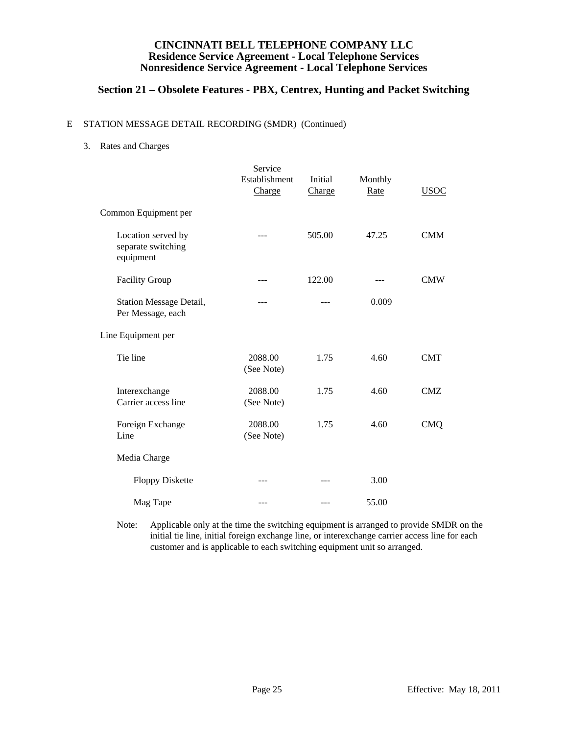## **Section 21 – Obsolete Features - PBX, Centrex, Hunting and Packet Switching**

#### E STATION MESSAGE DETAIL RECORDING (SMDR) (Continued)

3. Rates and Charges

|                                                       | Service<br>Establishment<br>Charge | Initial<br>Charge | Monthly<br>Rate | <b>USOC</b> |
|-------------------------------------------------------|------------------------------------|-------------------|-----------------|-------------|
| Common Equipment per                                  |                                    |                   |                 |             |
| Location served by<br>separate switching<br>equipment | ---                                | 505.00            | 47.25           | <b>CMM</b>  |
| <b>Facility Group</b>                                 |                                    | 122.00            |                 | <b>CMW</b>  |
| Station Message Detail,<br>Per Message, each          | $- - -$                            | ---               | 0.009           |             |
| Line Equipment per                                    |                                    |                   |                 |             |
| Tie line                                              | 2088.00<br>(See Note)              | 1.75              | 4.60            | <b>CMT</b>  |
| Interexchange<br>Carrier access line                  | 2088.00<br>(See Note)              | 1.75              | 4.60            | <b>CMZ</b>  |
| Foreign Exchange<br>Line                              | 2088.00<br>(See Note)              | 1.75              | 4.60            | <b>CMQ</b>  |
| Media Charge                                          |                                    |                   |                 |             |
| <b>Floppy Diskette</b>                                | ---                                |                   | 3.00            |             |
| Mag Tape                                              | ---                                |                   | 55.00           |             |

 Note: Applicable only at the time the switching equipment is arranged to provide SMDR on the initial tie line, initial foreign exchange line, or interexchange carrier access line for each customer and is applicable to each switching equipment unit so arranged.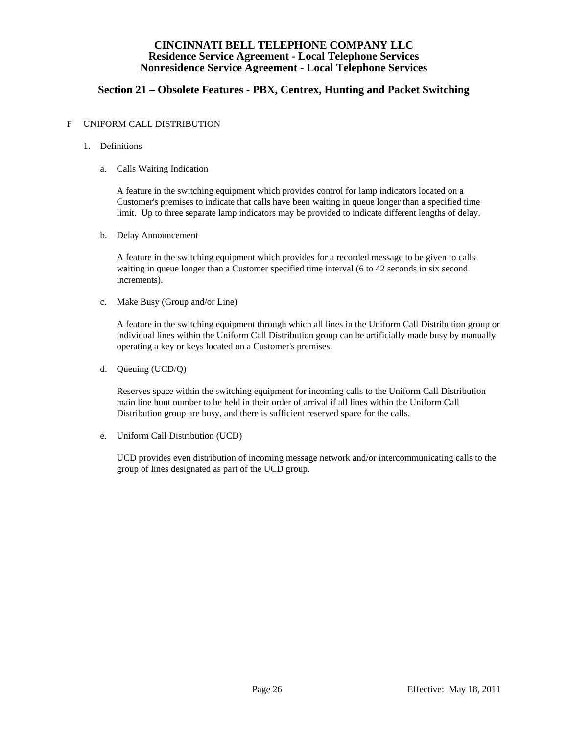## **Section 21 – Obsolete Features - PBX, Centrex, Hunting and Packet Switching**

#### F UNIFORM CALL DISTRIBUTION

- 1. Definitions
	- a. Calls Waiting Indication

 A feature in the switching equipment which provides control for lamp indicators located on a Customer's premises to indicate that calls have been waiting in queue longer than a specified time limit. Up to three separate lamp indicators may be provided to indicate different lengths of delay.

b. Delay Announcement

 A feature in the switching equipment which provides for a recorded message to be given to calls waiting in queue longer than a Customer specified time interval (6 to 42 seconds in six second increments).

c. Make Busy (Group and/or Line)

 A feature in the switching equipment through which all lines in the Uniform Call Distribution group or individual lines within the Uniform Call Distribution group can be artificially made busy by manually operating a key or keys located on a Customer's premises.

d. Queuing (UCD/Q)

 Reserves space within the switching equipment for incoming calls to the Uniform Call Distribution main line hunt number to be held in their order of arrival if all lines within the Uniform Call Distribution group are busy, and there is sufficient reserved space for the calls.

e. Uniform Call Distribution (UCD)

 UCD provides even distribution of incoming message network and/or intercommunicating calls to the group of lines designated as part of the UCD group.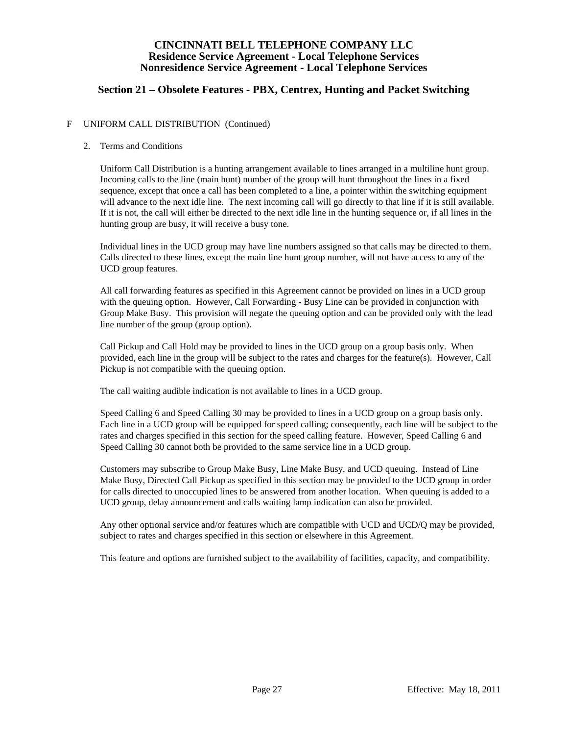## **Section 21 – Obsolete Features - PBX, Centrex, Hunting and Packet Switching**

#### F UNIFORM CALL DISTRIBUTION (Continued)

#### 2. Terms and Conditions

 Uniform Call Distribution is a hunting arrangement available to lines arranged in a multiline hunt group. Incoming calls to the line (main hunt) number of the group will hunt throughout the lines in a fixed sequence, except that once a call has been completed to a line, a pointer within the switching equipment will advance to the next idle line. The next incoming call will go directly to that line if it is still available. If it is not, the call will either be directed to the next idle line in the hunting sequence or, if all lines in the hunting group are busy, it will receive a busy tone.

 Individual lines in the UCD group may have line numbers assigned so that calls may be directed to them. Calls directed to these lines, except the main line hunt group number, will not have access to any of the UCD group features.

 All call forwarding features as specified in this Agreement cannot be provided on lines in a UCD group with the queuing option. However, Call Forwarding - Busy Line can be provided in conjunction with Group Make Busy. This provision will negate the queuing option and can be provided only with the lead line number of the group (group option).

 Call Pickup and Call Hold may be provided to lines in the UCD group on a group basis only. When provided, each line in the group will be subject to the rates and charges for the feature(s). However, Call Pickup is not compatible with the queuing option.

The call waiting audible indication is not available to lines in a UCD group.

 Speed Calling 6 and Speed Calling 30 may be provided to lines in a UCD group on a group basis only. Each line in a UCD group will be equipped for speed calling; consequently, each line will be subject to the rates and charges specified in this section for the speed calling feature. However, Speed Calling 6 and Speed Calling 30 cannot both be provided to the same service line in a UCD group.

 Customers may subscribe to Group Make Busy, Line Make Busy, and UCD queuing. Instead of Line Make Busy, Directed Call Pickup as specified in this section may be provided to the UCD group in order for calls directed to unoccupied lines to be answered from another location. When queuing is added to a UCD group, delay announcement and calls waiting lamp indication can also be provided.

 Any other optional service and/or features which are compatible with UCD and UCD/Q may be provided, subject to rates and charges specified in this section or elsewhere in this Agreement.

This feature and options are furnished subject to the availability of facilities, capacity, and compatibility.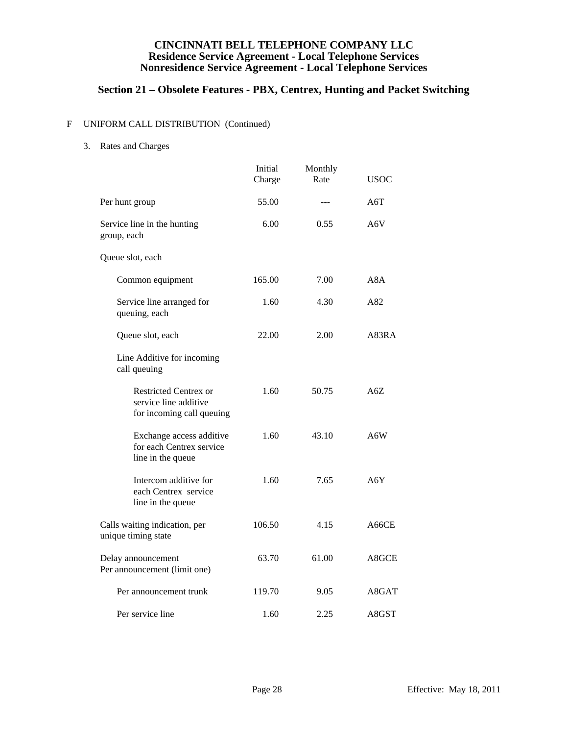# **Section 21 – Obsolete Features - PBX, Centrex, Hunting and Packet Switching**

### F UNIFORM CALL DISTRIBUTION (Continued)

3. Rates and Charges

|                                                                                    | Initial<br>Charge | Monthly<br>Rate | <b>USOC</b> |
|------------------------------------------------------------------------------------|-------------------|-----------------|-------------|
| Per hunt group                                                                     | 55.00             | ---             | A6T         |
| Service line in the hunting<br>group, each                                         | 6.00              | 0.55            | A6V         |
| Queue slot, each                                                                   |                   |                 |             |
| Common equipment                                                                   | 165.00            | 7.00            | A8A         |
| Service line arranged for<br>queuing, each                                         | 1.60              | 4.30            | A82         |
| Queue slot, each                                                                   | 22.00             | 2.00            | A83RA       |
| Line Additive for incoming<br>call queuing                                         |                   |                 |             |
| <b>Restricted Centrex or</b><br>service line additive<br>for incoming call queuing | 1.60              | 50.75           | A6Z         |
| Exchange access additive<br>for each Centrex service<br>line in the queue          | 1.60              | 43.10           | A6W         |
| Intercom additive for<br>each Centrex service<br>line in the queue                 | 1.60              | 7.65            | A6Y         |
| Calls waiting indication, per<br>unique timing state                               | 106.50            | 4.15            | A66CE       |
| Delay announcement<br>Per announcement (limit one)                                 | 63.70             | 61.00           | A8GCE       |
| Per announcement trunk                                                             | 119.70            | 9.05            | A8GAT       |
| Per service line                                                                   | 1.60              | 2.25            | A8GST       |